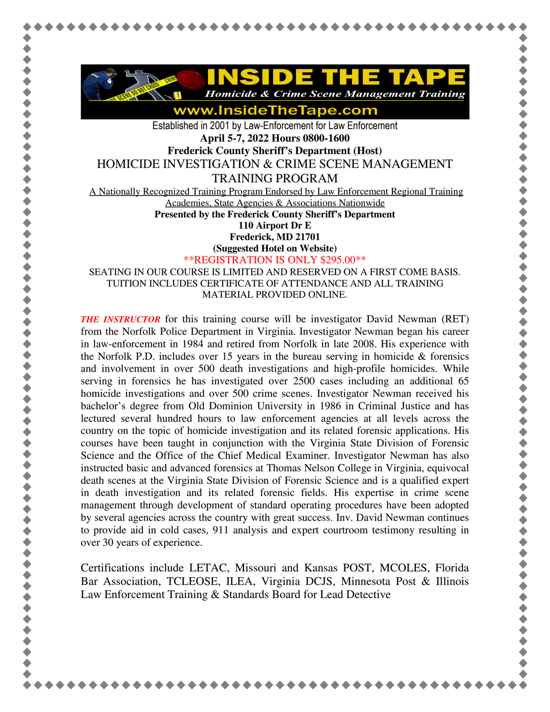

www.InsideTheTape.com

Established in 2001 by Law-Enforcement for Law Enforcement **April 5-7, 2022 Hours 0800-1600** 

**Frederick County Sheriff's Department (Host)** 

HOMICIDE INVESTIGATION & CRIME SCENE MANAGEMENT

TRAINING PROGRAM

A Nationally Recognized Training Program Endorsed by Law Enforcement Regional Training

Academies, State Agencies & Associations Nationwide

**Presented by the Frederick County Sheriff's Department 110 Airport Dr E** 

**Frederick, MD 21701** 

**(Suggested Hotel on Website)**

\*\*REGISTRATION IS ONLY \$295.00\*\*

SEATING IN OUR COURSE IS LIMITED AND RESERVED ON A FIRST COME BASIS. TUITION INCLUDES CERTIFICATE OF ATTENDANCE AND ALL TRAINING MATERIAL PROVIDED ONLINE.

*THE INSTRUCTOR* for this training course will be investigator David Newman (RET) from the Norfolk Police Department in Virginia. Investigator Newman began his career in law-enforcement in 1984 and retired from Norfolk in late 2008. His experience with the Norfolk P.D. includes over 15 years in the bureau serving in homicide  $\&$  forensics and involvement in over 500 death investigations and high-profile homicides. While serving in forensics he has investigated over 2500 cases including an additional 65 homicide investigations and over 500 crime scenes. Investigator Newman received his bachelor's degree from Old Dominion University in 1986 in Criminal Justice and has lectured several hundred hours to law enforcement agencies at all levels across the country on the topic of homicide investigation and its related forensic applications. His courses have been taught in conjunction with the Virginia State Division of Forensic Science and the Office of the Chief Medical Examiner. Investigator Newman has also instructed basic and advanced forensics at Thomas Nelson College in Virginia, equivocal death scenes at the Virginia State Division of Forensic Science and is a qualified expert in death investigation and its related forensic fields. His expertise in crime scene management through development of standard operating procedures have been adopted by several agencies across the country with great success. Inv. David Newman continues to provide aid in cold cases, 911 analysis and expert courtroom testimony resulting in over 30 years of experience.

Certifications include LETAC, Missouri and Kansas POST, MCOLES, Florida Bar Association, TCLEOSE, ILEA, Virginia DCJS, Minnesota Post & Illinois Law Enforcement Training & Standards Board for Lead Detective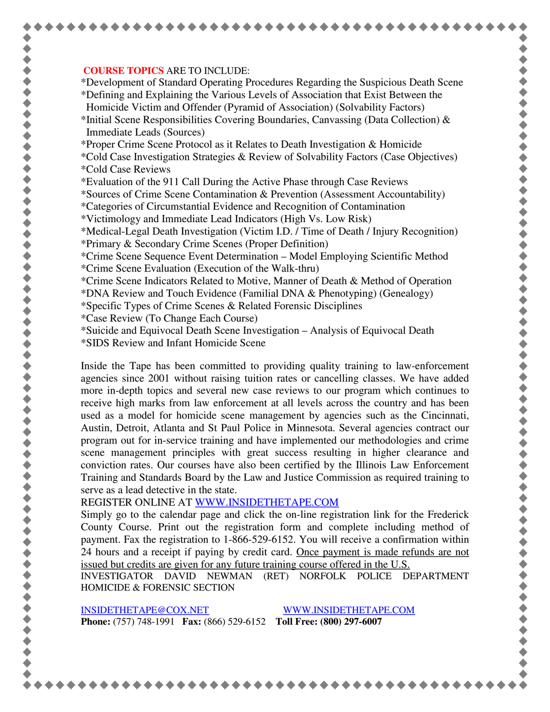## **COURSE TOPICS** ARE TO INCLUDE:

\*Development of Standard Operating Procedures Regarding the Suspicious Death Scene \*Defining and Explaining the Various Levels of Association that Exist Between the Homicide Victim and Offender (Pyramid of Association) (Solvability Factors)

\*Initial Scene Responsibilities Covering Boundaries, Canvassing (Data Collection)  $\&$ Immediate Leads (Sources)

\*Proper Crime Scene Protocol as it Relates to Death Investigation & Homicide

- \*Cold Case Investigation Strategies & Review of Solvability Factors (Case Objectives) \*Cold Case Reviews
- \*Evaluation of the 911 Call During the Active Phase through Case Reviews

\*Sources of Crime Scene Contamination & Prevention (Assessment Accountability)

- \*Categories of Circumstantial Evidence and Recognition of Contamination
- \*Victimology and Immediate Lead Indicators (High Vs. Low Risk)

\*Medical-Legal Death Investigation (Victim I.D. / Time of Death / Injury Recognition)

- \*Primary & Secondary Crime Scenes (Proper Definition)
- \*Crime Scene Sequence Event Determination Model Employing Scientific Method \*Crime Scene Evaluation (Execution of the Walk-thru)
- \*Crime Scene Indicators Related to Motive, Manner of Death & Method of Operation
- \*DNA Review and Touch Evidence (Familial DNA & Phenotyping) (Genealogy)
- \*Specific Types of Crime Scenes & Related Forensic Disciplines
- \*Case Review (To Change Each Course)
- \*Suicide and Equivocal Death Scene Investigation Analysis of Equivocal Death
- \*SIDS Review and Infant Homicide Scene

Inside the Tape has been committed to providing quality training to law-enforcement agencies since 2001 without raising tuition rates or cancelling classes. We have added more in-depth topics and several new case reviews to our program which continues to receive high marks from law enforcement at all levels across the country and has been used as a model for homicide scene management by agencies such as the Cincinnati, Austin, Detroit, Atlanta and St Paul Police in Minnesota. Several agencies contract our program out for in-service training and have implemented our methodologies and crime scene management principles with great success resulting in higher clearance and conviction rates. Our courses have also been certified by the Illinois Law Enforcement Training and Standards Board by the Law and Justice Commission as required training to serve as a lead detective in the state.

REGISTER ONLINE AT WWW.INSIDETHETAPE.COM

Simply go to the calendar page and click the on-line registration link for the Frederick County Course. Print out the registration form and complete including method of payment. Fax the registration to 1-866-529-6152. You will receive a confirmation within 24 hours and a receipt if paying by credit card. Once payment is made refunds are not issued but credits are given for any future training course offered in the U.S.

INVESTIGATOR DAVID NEWMAN (RET) NORFOLK POLICE DEPARTMENT HOMICIDE & FORENSIC SECTION

INSIDETHETAPE@COX.NET WWW.INSIDETHETAPE.COM **Phone:** (757) 748-1991 **Fax:** (866) 529-6152 **Toll Free: (800) 297-6007**